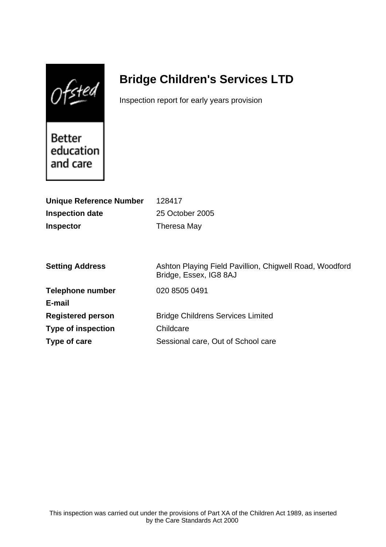$0$ fsted

# **Bridge Children's Services LTD**

Inspection report for early years provision

Better education and care

| <b>Unique Reference Number</b> | 128417                                                                            |
|--------------------------------|-----------------------------------------------------------------------------------|
| <b>Inspection date</b>         | 25 October 2005                                                                   |
| <b>Inspector</b>               | Theresa May                                                                       |
|                                |                                                                                   |
|                                |                                                                                   |
| <b>Setting Address</b>         | Ashton Playing Field Pavillion, Chigwell Road, Woodford<br>Bridge, Essex, IG8 8AJ |
| <b>Telephone number</b>        | 020 8505 0491                                                                     |
| E-mail                         |                                                                                   |
| <b>Registered person</b>       | <b>Bridge Childrens Services Limited</b>                                          |
| <b>Type of inspection</b>      | Childcare                                                                         |
| Type of care                   | Sessional care, Out of School care                                                |
|                                |                                                                                   |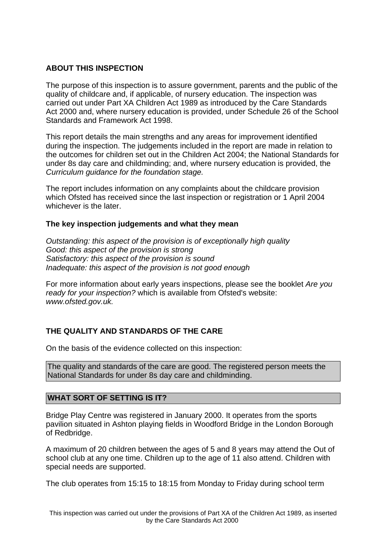# **ABOUT THIS INSPECTION**

The purpose of this inspection is to assure government, parents and the public of the quality of childcare and, if applicable, of nursery education. The inspection was carried out under Part XA Children Act 1989 as introduced by the Care Standards Act 2000 and, where nursery education is provided, under Schedule 26 of the School Standards and Framework Act 1998.

This report details the main strengths and any areas for improvement identified during the inspection. The judgements included in the report are made in relation to the outcomes for children set out in the Children Act 2004; the National Standards for under 8s day care and childminding; and, where nursery education is provided, the Curriculum guidance for the foundation stage.

The report includes information on any complaints about the childcare provision which Ofsted has received since the last inspection or registration or 1 April 2004 whichever is the later.

## **The key inspection judgements and what they mean**

Outstanding: this aspect of the provision is of exceptionally high quality Good: this aspect of the provision is strong Satisfactory: this aspect of the provision is sound Inadequate: this aspect of the provision is not good enough

For more information about early years inspections, please see the booklet Are you ready for your inspection? which is available from Ofsted's website: www.ofsted.gov.uk.

# **THE QUALITY AND STANDARDS OF THE CARE**

On the basis of the evidence collected on this inspection:

The quality and standards of the care are good. The registered person meets the National Standards for under 8s day care and childminding.

## **WHAT SORT OF SETTING IS IT?**

Bridge Play Centre was registered in January 2000. It operates from the sports pavilion situated in Ashton playing fields in Woodford Bridge in the London Borough of Redbridge.

A maximum of 20 children between the ages of 5 and 8 years may attend the Out of school club at any one time. Children up to the age of 11 also attend. Children with special needs are supported.

The club operates from 15:15 to 18:15 from Monday to Friday during school term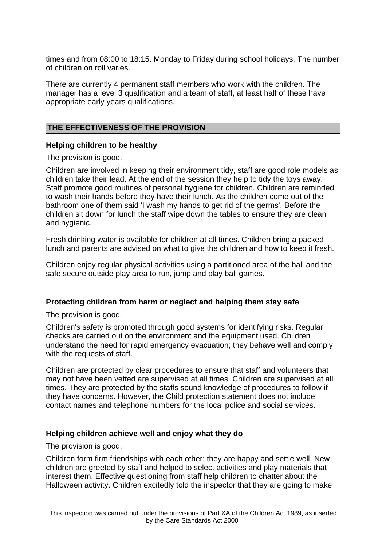times and from 08:00 to 18:15. Monday to Friday during school holidays. The number of children on roll varies.

There are currently 4 permanent staff members who work with the children. The manager has a level 3 qualification and a team of staff, at least half of these have appropriate early years qualifications.

## **THE EFFECTIVENESS OF THE PROVISION**

#### **Helping children to be healthy**

The provision is good.

Children are involved in keeping their environment tidy, staff are good role models as children take their lead. At the end of the session they help to tidy the toys away. Staff promote good routines of personal hygiene for children. Children are reminded to wash their hands before they have their lunch. As the children come out of the bathroom one of them said 'I wash my hands to get rid of the germs'. Before the children sit down for lunch the staff wipe down the tables to ensure they are clean and hygienic.

Fresh drinking water is available for children at all times. Children bring a packed lunch and parents are advised on what to give the children and how to keep it fresh.

Children enjoy regular physical activities using a partitioned area of the hall and the safe secure outside play area to run, jump and play ball games.

## **Protecting children from harm or neglect and helping them stay safe**

The provision is good.

Children's safety is promoted through good systems for identifying risks. Regular checks are carried out on the environment and the equipment used. Children understand the need for rapid emergency evacuation; they behave well and comply with the requests of staff.

Children are protected by clear procedures to ensure that staff and volunteers that may not have been vetted are supervised at all times. Children are supervised at all times. They are protected by the staffs sound knowledge of procedures to follow if they have concerns. However, the Child protection statement does not include contact names and telephone numbers for the local police and social services.

#### **Helping children achieve well and enjoy what they do**

The provision is good.

Children form firm friendships with each other; they are happy and settle well. New children are greeted by staff and helped to select activities and play materials that interest them. Effective questioning from staff help children to chatter about the Halloween activity. Children excitedly told the inspector that they are going to make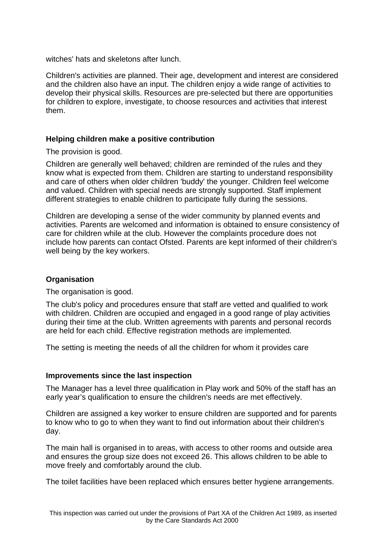witches' hats and skeletons after lunch.

Children's activities are planned. Their age, development and interest are considered and the children also have an input. The children enjoy a wide range of activities to develop their physical skills. Resources are pre-selected but there are opportunities for children to explore, investigate, to choose resources and activities that interest them.

## **Helping children make a positive contribution**

The provision is good.

Children are generally well behaved; children are reminded of the rules and they know what is expected from them. Children are starting to understand responsibility and care of others when older children 'buddy' the younger. Children feel welcome and valued. Children with special needs are strongly supported. Staff implement different strategies to enable children to participate fully during the sessions.

Children are developing a sense of the wider community by planned events and activities. Parents are welcomed and information is obtained to ensure consistency of care for children while at the club. However the complaints procedure does not include how parents can contact Ofsted. Parents are kept informed of their children's well being by the key workers.

## **Organisation**

The organisation is good.

The club's policy and procedures ensure that staff are vetted and qualified to work with children. Children are occupied and engaged in a good range of play activities during their time at the club. Written agreements with parents and personal records are held for each child. Effective registration methods are implemented.

The setting is meeting the needs of all the children for whom it provides care

#### **Improvements since the last inspection**

The Manager has a level three qualification in Play work and 50% of the staff has an early year's qualification to ensure the children's needs are met effectively.

Children are assigned a key worker to ensure children are supported and for parents to know who to go to when they want to find out information about their children's day.

The main hall is organised in to areas, with access to other rooms and outside area and ensures the group size does not exceed 26. This allows children to be able to move freely and comfortably around the club.

The toilet facilities have been replaced which ensures better hygiene arrangements.